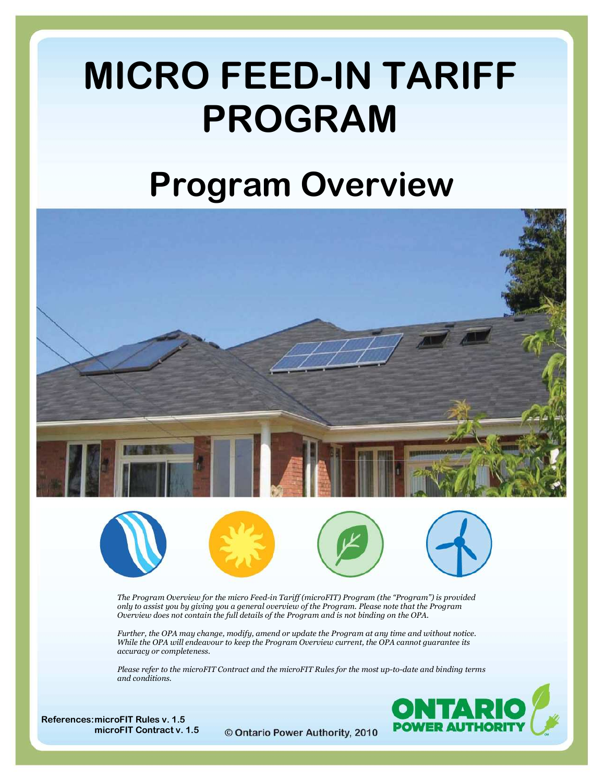# MICRO FEED-IN TARIFF PROGRAM

# Program Overview











The Program Overview for the micro Feed-in Tariff (microFIT) Program (the "Program") is provided only to assist you by giving you a general overview of the Program. Please note that the Program Overview does not contain the full details of the Program and is not binding on the OPA.

Further, the OPA may change, modify, amend or update the Program at any time and without notice. While the OPA will endeavour to keep the Program Overview current, the OPA cannot guarantee its accuracy or completeness.

Please refer to the microFIT Contract and the microFIT Rules for the most up-to-date and binding terms and conditions.



References:microFIT Rules v. 1.5 microFIT Contract v. 1.5

© Ontario Power Authority, 2010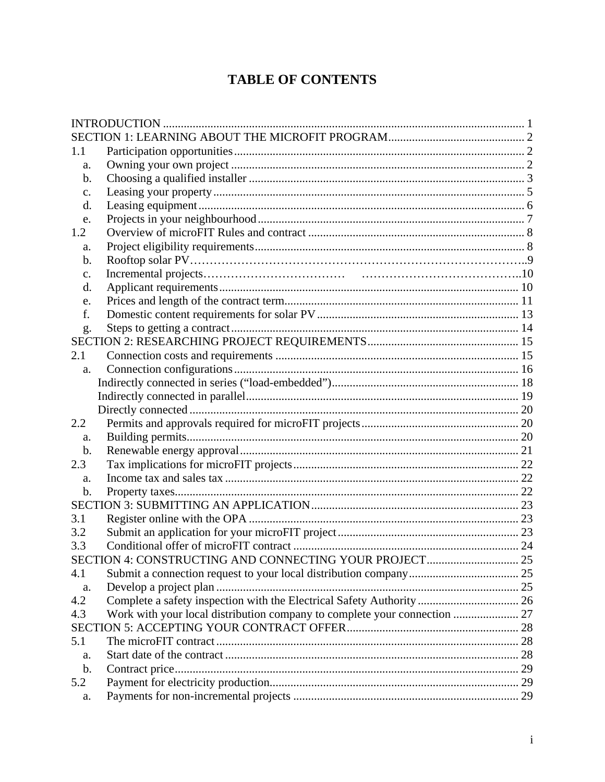# **TABLE OF CONTENTS**

| 1.1            |                                                                           |  |
|----------------|---------------------------------------------------------------------------|--|
| a.             |                                                                           |  |
| b.             |                                                                           |  |
| $C_{\bullet}$  |                                                                           |  |
| d.             |                                                                           |  |
| e.             |                                                                           |  |
| 1.2            |                                                                           |  |
| a.             |                                                                           |  |
| $\mathbf b$ .  |                                                                           |  |
| $\mathbf{c}$ . |                                                                           |  |
| d.             |                                                                           |  |
| e.             |                                                                           |  |
| f.             |                                                                           |  |
| g.             |                                                                           |  |
|                |                                                                           |  |
| 2.1            |                                                                           |  |
| a.             |                                                                           |  |
|                |                                                                           |  |
|                |                                                                           |  |
|                |                                                                           |  |
| 2.2            |                                                                           |  |
| a.             |                                                                           |  |
| $\mathbf b$ .  |                                                                           |  |
| 2.3            |                                                                           |  |
| a.             |                                                                           |  |
| $\mathbf b$ .  |                                                                           |  |
|                |                                                                           |  |
| 3.1            |                                                                           |  |
| 3.2            |                                                                           |  |
| 3.3            |                                                                           |  |
|                |                                                                           |  |
| 4.1            |                                                                           |  |
| a.             |                                                                           |  |
| 4.2            | Complete a safety inspection with the Electrical Safety Authority  26     |  |
| 4.3            | Work with your local distribution company to complete your connection  27 |  |
|                |                                                                           |  |
| 5.1            |                                                                           |  |
| a.             |                                                                           |  |
| $\mathbf b$ .  |                                                                           |  |
| 5.2            |                                                                           |  |
| a.             |                                                                           |  |
|                |                                                                           |  |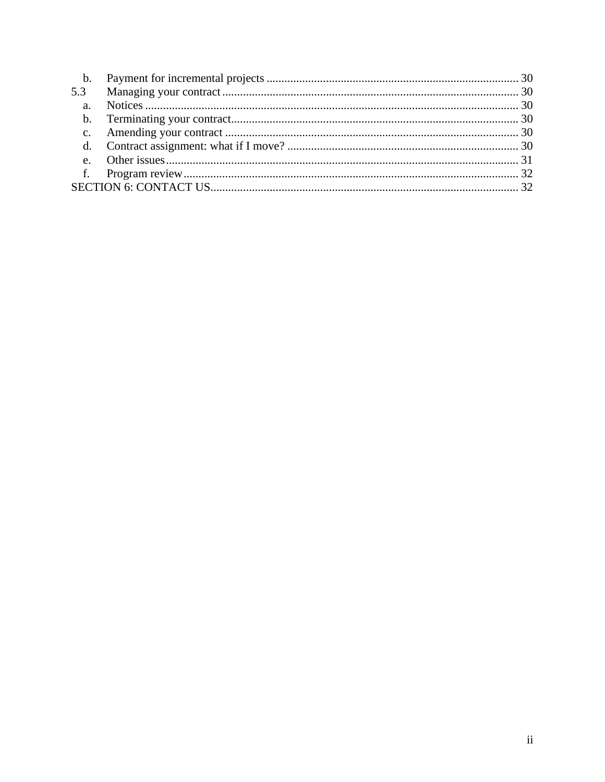| 5.3 |  |
|-----|--|
|     |  |
|     |  |
|     |  |
|     |  |
|     |  |
|     |  |
|     |  |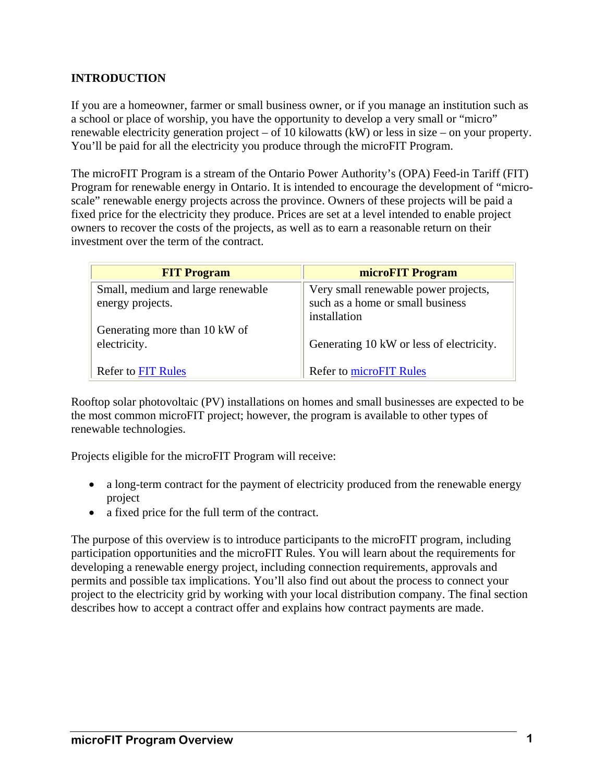# **INTRODUCTION**

If you are a homeowner, farmer or small business owner, or if you manage an institution such as a school or place of worship, you have the opportunity to develop a very small or "micro" renewable electricity generation project – of 10 kilowatts (kW) or less in size – on your property. You'll be paid for all the electricity you produce through the microFIT Program.

The microFIT Program is a stream of the Ontario Power Authority's (OPA) Feed-in Tariff (FIT) Program for renewable energy in Ontario. It is intended to encourage the development of "microscale" renewable energy projects across the province. Owners of these projects will be paid a fixed price for the electricity they produce. Prices are set at a level intended to enable project owners to recover the costs of the projects, as well as to earn a reasonable return on their investment over the term of the contract.

| <b>FIT Program</b>                                    | microFIT Program                                                                         |
|-------------------------------------------------------|------------------------------------------------------------------------------------------|
| Small, medium and large renewable<br>energy projects. | Very small renewable power projects,<br>such as a home or small business<br>installation |
| Generating more than 10 kW of<br>electricity.         | Generating 10 kW or less of electricity.                                                 |
| <b>Refer to FIT Rules</b>                             | <b>Refer to microFIT Rules</b>                                                           |

Rooftop solar photovoltaic (PV) installations on homes and small businesses are expected to be the most common microFIT project; however, the program is available to other types of renewable technologies.

Projects eligible for the microFIT Program will receive:

- a long-term contract for the payment of electricity produced from the renewable energy project
- a fixed price for the full term of the contract.

The purpose of this overview is to introduce participants to the microFIT program, including participation opportunities and the microFIT Rules. You will learn about the requirements for developing a renewable energy project, including connection requirements, approvals and permits and possible tax implications. You'll also find out about the process to connect your project to the electricity grid by working with your local distribution company. The final section describes how to accept a contract offer and explains how contract payments are made.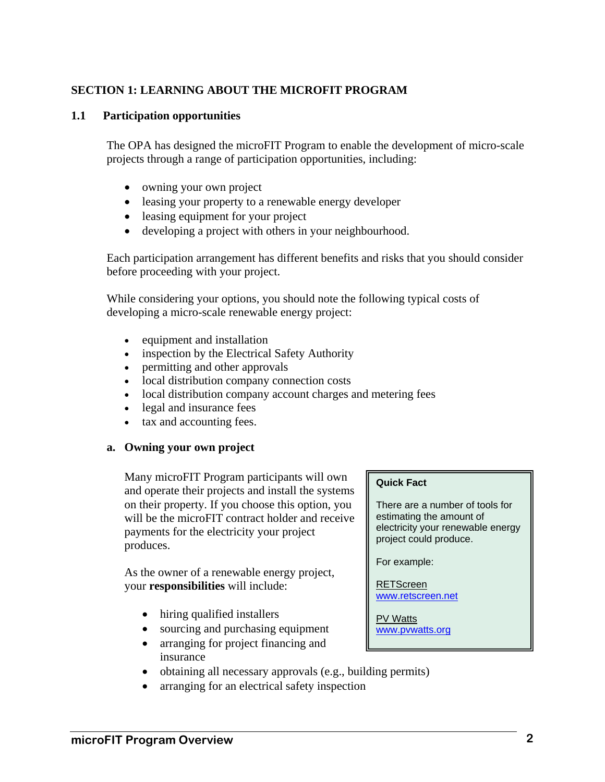# **SECTION 1: LEARNING ABOUT THE MICROFIT PROGRAM**

#### **1.1 Participation opportunities**

The OPA has designed the microFIT Program to enable the development of micro-scale projects through a range of participation opportunities, including:

- owning your own project
- leasing your property to a renewable energy developer
- leasing equipment for your project
- developing a project with others in your neighbourhood.

Each participation arrangement has different benefits and risks that you should consider before proceeding with your project.

While considering your options, you should note the following typical costs of developing a micro-scale renewable energy project:

- equipment and installation
- inspection by the Electrical Safety Authority
- permitting and other approvals
- local distribution company connection costs
- local distribution company account charges and metering fees
- legal and insurance fees
- tax and accounting fees.

#### **a. Owning your own project**

Many microFIT Program participants will own and operate their projects and install the systems on their property. If you choose this option, you will be the microFIT contract holder and receive payments for the electricity your project produces.

As the owner of a renewable energy project, your **responsibilities** will include:

- hiring qualified installers
- sourcing and purchasing equipment
- arranging for project financing and insurance
- obtaining all necessary approvals (e.g., building permits)
- arranging for an electrical safety inspection

#### **Quick Fact**

There are a number of tools for estimating the amount of electricity your renewable energy project could produce.

For example:

RETScreen www.retscreen.net

PV Watts www.pvwatts.org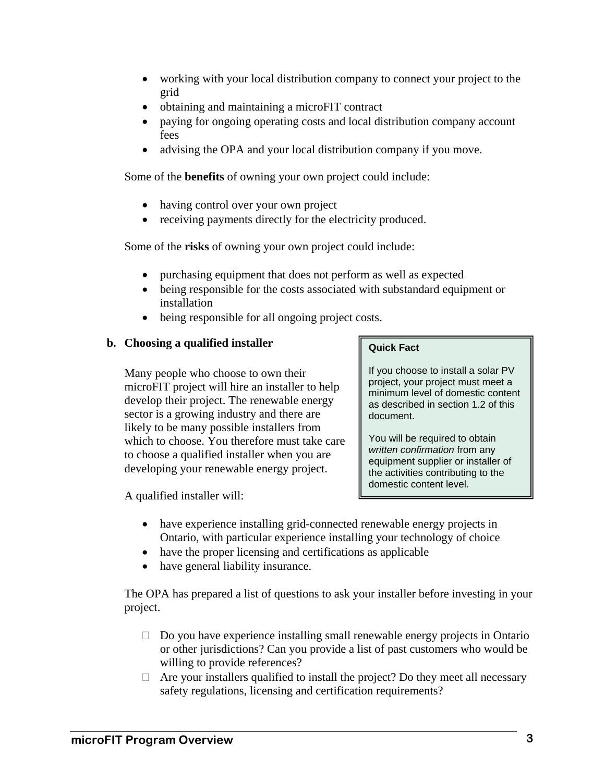- working with your local distribution company to connect your project to the grid
- obtaining and maintaining a microFIT contract
- paying for ongoing operating costs and local distribution company account fees
- advising the OPA and your local distribution company if you move.

Some of the **benefits** of owning your own project could include:

- having control over your own project
- receiving payments directly for the electricity produced.

Some of the **risks** of owning your own project could include:

- purchasing equipment that does not perform as well as expected
- being responsible for the costs associated with substandard equipment or installation
- being responsible for all ongoing project costs.

# **b. Choosing a qualified installer**

Many people who choose to own their microFIT project will hire an installer to help develop their project. The renewable energy sector is a growing industry and there are likely to be many possible installers from which to choose. You therefore must take care to choose a qualified installer when you are developing your renewable energy project.

A qualified installer will:

#### **Quick Fact**

If you choose to install a solar PV project, your project must meet a minimum level of domestic content as described in section 1.2 of this document.

You will be required to obtain *written confirmation* from any equipment supplier or installer of the activities contributing to the domestic content level.

- have experience installing grid-connected renewable energy projects in Ontario, with particular experience installing your technology of choice
- have the proper licensing and certifications as applicable
- have general liability insurance.

The OPA has prepared a list of questions to ask your installer before investing in your project.

- $\Box$  Do you have experience installing small renewable energy projects in Ontario or other jurisdictions? Can you provide a list of past customers who would be willing to provide references?
- $\Box$  Are your installers qualified to install the project? Do they meet all necessary safety regulations, licensing and certification requirements?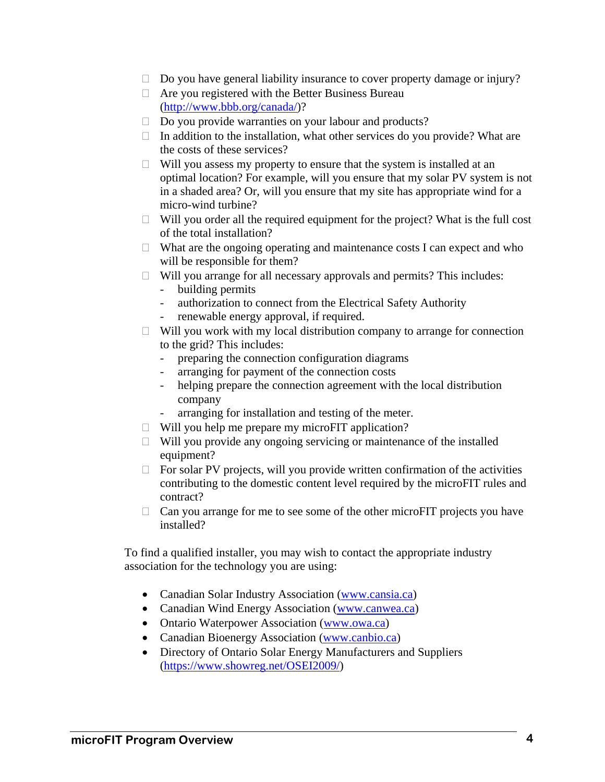- $\Box$  Do you have general liability insurance to cover property damage or injury?
- $\Box$  Are you registered with the Better Business Bureau (http://www.bbb.org/canada/)?
- $\Box$  Do you provide warranties on your labour and products?
- $\Box$  In addition to the installation, what other services do you provide? What are the costs of these services?
- $\Box$  Will you assess my property to ensure that the system is installed at an optimal location? For example, will you ensure that my solar PV system is not in a shaded area? Or, will you ensure that my site has appropriate wind for a micro-wind turbine?
- $\Box$  Will you order all the required equipment for the project? What is the full cost of the total installation?
- $\Box$  What are the ongoing operating and maintenance costs I can expect and who will be responsible for them?
- $\Box$  Will you arrange for all necessary approvals and permits? This includes: - building permits
	- authorization to connect from the Electrical Safety Authority
	- renewable energy approval, if required.
- $\Box$  Will you work with my local distribution company to arrange for connection to the grid? This includes:
	- preparing the connection configuration diagrams
	- arranging for payment of the connection costs
	- helping prepare the connection agreement with the local distribution company
	- arranging for installation and testing of the meter.
- $\Box$  Will you help me prepare my microFIT application?
- $\Box$  Will you provide any ongoing servicing or maintenance of the installed equipment?
- $\Box$  For solar PV projects, will you provide written confirmation of the activities contributing to the domestic content level required by the microFIT rules and contract?
- $\Box$  Can you arrange for me to see some of the other microFIT projects you have installed?

To find a qualified installer, you may wish to contact the appropriate industry association for the technology you are using:

- Canadian Solar Industry Association (www.cansia.ca)
- Canadian Wind Energy Association (www.canwea.ca)
- Ontario Waterpower Association (www.owa.ca)
- Canadian Bioenergy Association (www.canbio.ca)
- Directory of Ontario Solar Energy Manufacturers and Suppliers (https://www.showreg.net/OSEI2009/)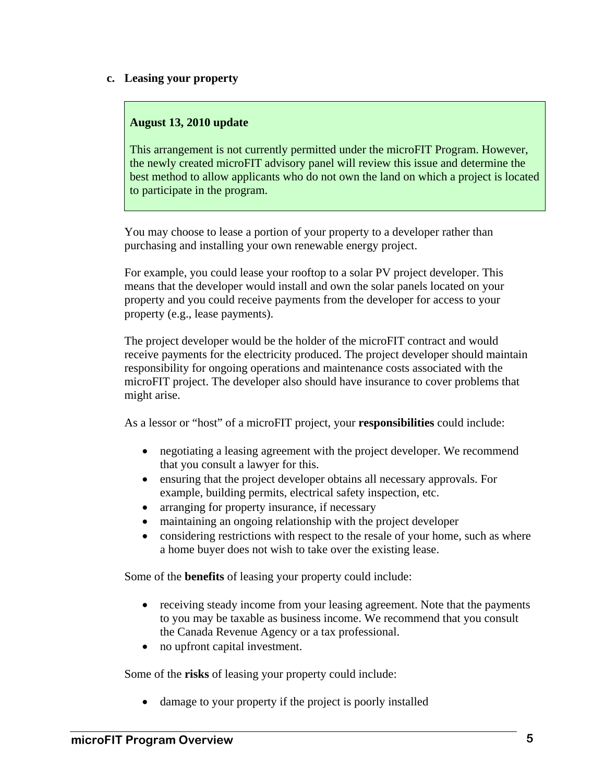#### **c. Leasing your property**

#### **August 13, 2010 update**

This arrangement is not currently permitted under the microFIT Program. However, the newly created microFIT advisory panel will review this issue and determine the best method to allow applicants who do not own the land on which a project is located to participate in the program.

You may choose to lease a portion of your property to a developer rather than purchasing and installing your own renewable energy project.

For example, you could lease your rooftop to a solar PV project developer. This means that the developer would install and own the solar panels located on your property and you could receive payments from the developer for access to your property (e.g., lease payments).

The project developer would be the holder of the microFIT contract and would receive payments for the electricity produced. The project developer should maintain responsibility for ongoing operations and maintenance costs associated with the microFIT project. The developer also should have insurance to cover problems that might arise.

As a lessor or "host" of a microFIT project, your **responsibilities** could include:

- negotiating a leasing agreement with the project developer. We recommend that you consult a lawyer for this.
- ensuring that the project developer obtains all necessary approvals. For example, building permits, electrical safety inspection, etc.
- arranging for property insurance, if necessary
- maintaining an ongoing relationship with the project developer
- considering restrictions with respect to the resale of your home, such as where a home buyer does not wish to take over the existing lease.

Some of the **benefits** of leasing your property could include:

- receiving steady income from your leasing agreement. Note that the payments to you may be taxable as business income. We recommend that you consult the Canada Revenue Agency or a tax professional.
- no upfront capital investment.

Some of the **risks** of leasing your property could include:

damage to your property if the project is poorly installed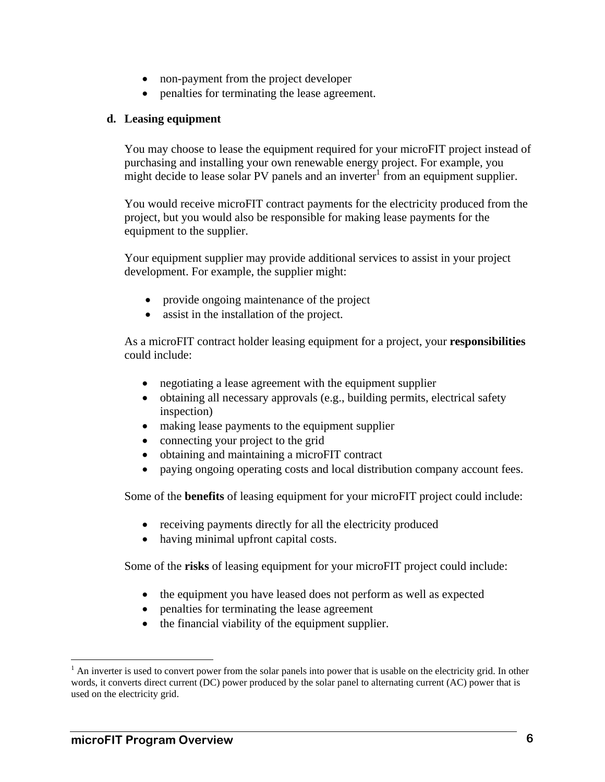- non-payment from the project developer
- penalties for terminating the lease agreement.

#### **d. Leasing equipment**

You may choose to lease the equipment required for your microFIT project instead of purchasing and installing your own renewable energy project. For example, you might decide to lease solar PV panels and an inverter  $\frac{1}{2}$  from an equipment supplier.

You would receive microFIT contract payments for the electricity produced from the project, but you would also be responsible for making lease payments for the equipment to the supplier.

Your equipment supplier may provide additional services to assist in your project development. For example, the supplier might:

- provide ongoing maintenance of the project
- assist in the installation of the project.

As a microFIT contract holder leasing equipment for a project, your **responsibilities** could include:

- negotiating a lease agreement with the equipment supplier
- obtaining all necessary approvals (e.g., building permits, electrical safety inspection)
- making lease payments to the equipment supplier
- connecting your project to the grid
- obtaining and maintaining a microFIT contract
- paying ongoing operating costs and local distribution company account fees.

Some of the **benefits** of leasing equipment for your microFIT project could include:

- receiving payments directly for all the electricity produced
- having minimal upfront capital costs.

Some of the **risks** of leasing equipment for your microFIT project could include:

- the equipment you have leased does not perform as well as expected
- penalties for terminating the lease agreement
- the financial viability of the equipment supplier.

 $\overline{a}$ 

 $<sup>1</sup>$  An inverter is used to convert power from the solar panels into power that is usable on the electricity grid. In other</sup> words, it converts direct current (DC) power produced by the solar panel to alternating current (AC) power that is used on the electricity grid.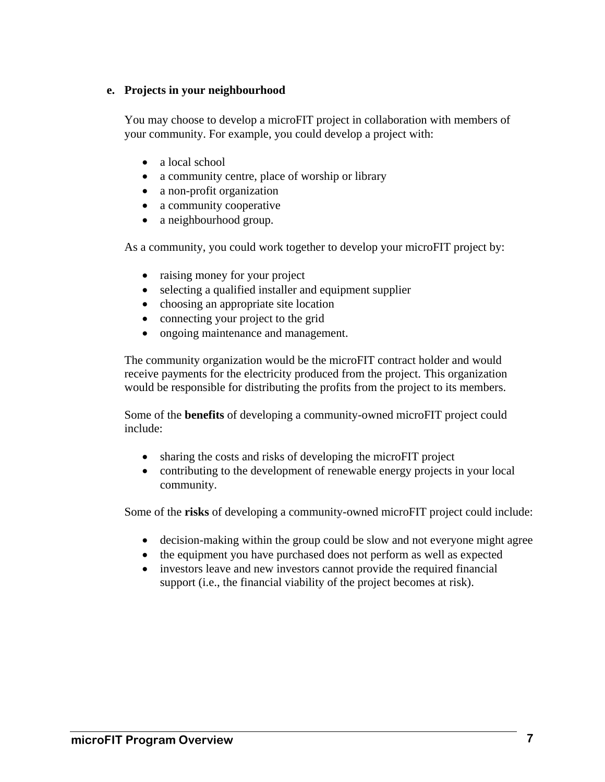#### **e. Projects in your neighbourhood**

You may choose to develop a microFIT project in collaboration with members of your community. For example, you could develop a project with:

- a local school
- a community centre, place of worship or library
- a non-profit organization
- a community cooperative
- a neighbourhood group.

As a community, you could work together to develop your microFIT project by:

- raising money for your project
- selecting a qualified installer and equipment supplier
- choosing an appropriate site location
- connecting your project to the grid
- ongoing maintenance and management.

The community organization would be the microFIT contract holder and would receive payments for the electricity produced from the project. This organization would be responsible for distributing the profits from the project to its members.

Some of the **benefits** of developing a community-owned microFIT project could include:

- sharing the costs and risks of developing the microFIT project
- contributing to the development of renewable energy projects in your local community.

Some of the **risks** of developing a community-owned microFIT project could include:

- decision-making within the group could be slow and not everyone might agree
- the equipment you have purchased does not perform as well as expected
- investors leave and new investors cannot provide the required financial support (i.e., the financial viability of the project becomes at risk).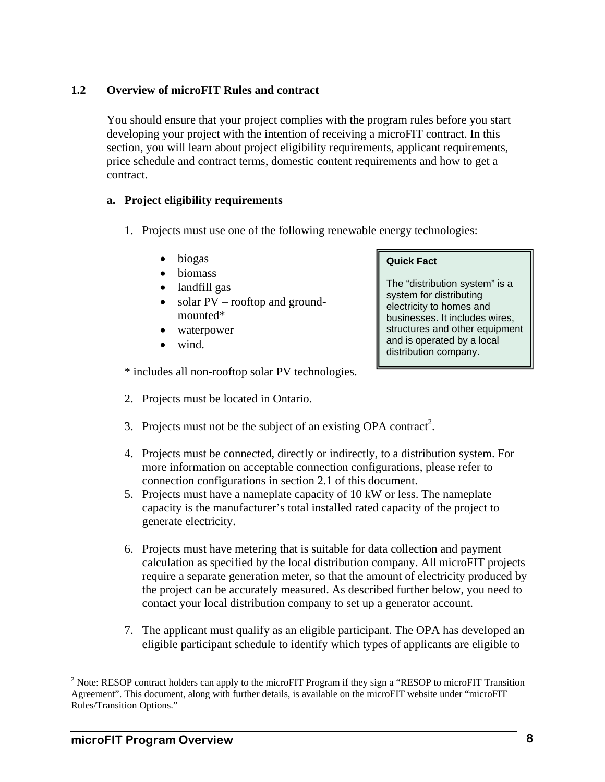#### **1.2 Overview of microFIT Rules and contract**

You should ensure that your project complies with the program rules before you start developing your project with the intention of receiving a microFIT contract. In this section, you will learn about project eligibility requirements, applicant requirements, price schedule and contract terms, domestic content requirements and how to get a contract.

#### **a. Project eligibility requirements**

- 1. Projects must use one of the following renewable energy technologies:
	- biogas
	- biomass
	- landfill gas
	- solar PV rooftop and groundmounted\*
	- waterpower
	- wind.

#### **Quick Fact**

The "distribution system" is a system for distributing electricity to homes and businesses. It includes wires, structures and other equipment and is operated by a local distribution company.

\* includes all non-rooftop solar PV technologies.

- 2. Projects must be located in Ontario.
- 3. Projects must not be the subject of an existing OPA contract<sup>2</sup>.
- 4. Projects must be connected, directly or indirectly, to a distribution system. For more information on acceptable connection configurations, please refer to connection configurations in section 2.1 of this document.
- 5. Projects must have a nameplate capacity of 10 kW or less. The nameplate capacity is the manufacturer's total installed rated capacity of the project to generate electricity.
- 6. Projects must have metering that is suitable for data collection and payment calculation as specified by the local distribution company. All microFIT projects require a separate generation meter, so that the amount of electricity produced by the project can be accurately measured. As described further below, you need to contact your local distribution company to set up a generator account.
- 7. The applicant must qualify as an eligible participant. The OPA has developed an eligible participant schedule to identify which types of applicants are eligible to

 $\overline{a}$ 

<sup>&</sup>lt;sup>2</sup> Note: RESOP contract holders can apply to the microFIT Program if they sign a "RESOP to microFIT Transition Agreement". This document, along with further details, is available on the microFIT website under "microFIT Rules/Transition Options."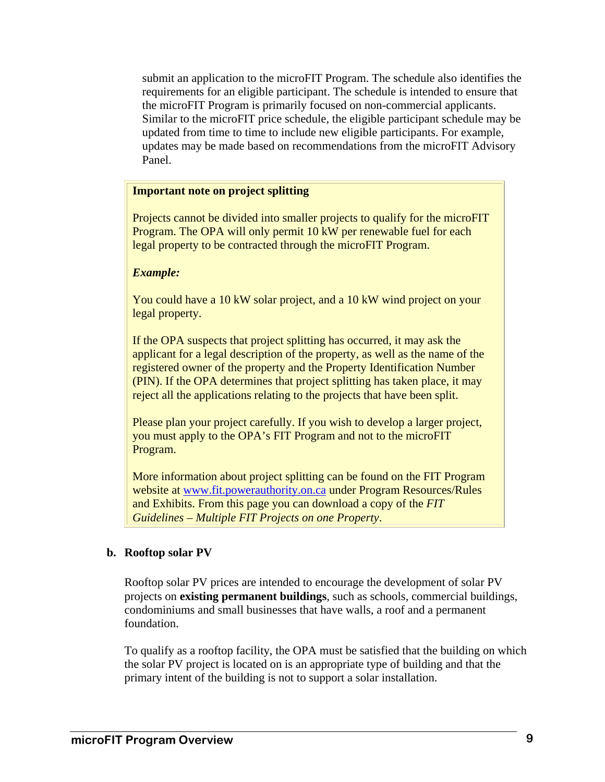submit an application to the microFIT Program. The schedule also identifies the requirements for an eligible participant. The schedule is intended to ensure that the microFIT Program is primarily focused on non-commercial applicants. Similar to the microFIT price schedule, the eligible participant schedule may be updated from time to time to include new eligible participants. For example, updates may be made based on recommendations from the microFIT Advisory Panel.

#### **Important note on project splitting**

Projects cannot be divided into smaller projects to qualify for the microFIT Program. The OPA will only permit 10 kW per renewable fuel for each legal property to be contracted through the microFIT Program.

#### *Example:*

You could have a 10 kW solar project, and a 10 kW wind project on your legal property.

If the OPA suspects that project splitting has occurred, it may ask the applicant for a legal description of the property, as well as the name of the registered owner of the property and the Property Identification Number (PIN). If the OPA determines that project splitting has taken place, it may reject all the applications relating to the projects that have been split.

Please plan your project carefully. If you wish to develop a larger project, you must apply to the OPA's FIT Program and not to the microFIT Program.

More information about project splitting can be found on the FIT Program website at www.fit.powerauthority.on.ca under Program Resources/Rules and Exhibits. From this page you can download a copy of the *FIT Guidelines – Multiple FIT Projects on one Property*.

#### **b. Rooftop solar PV**

Rooftop solar PV prices are intended to encourage the development of solar PV projects on **existing permanent buildings**, such as schools, commercial buildings, condominiums and small businesses that have walls, a roof and a permanent foundation.

To qualify as a rooftop facility, the OPA must be satisfied that the building on which the solar PV project is located on is an appropriate type of building and that the primary intent of the building is not to support a solar installation.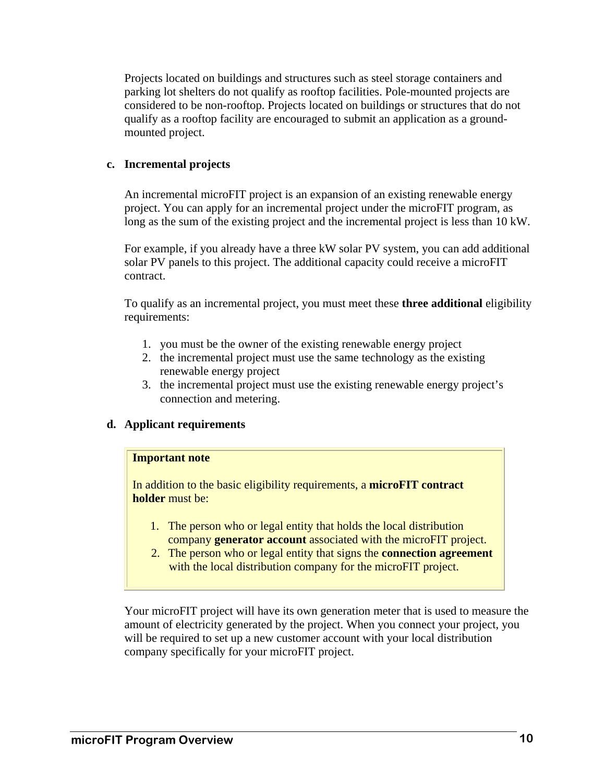Projects located on buildings and structures such as steel storage containers and parking lot shelters do not qualify as rooftop facilities. Pole-mounted projects are considered to be non-rooftop. Projects located on buildings or structures that do not qualify as a rooftop facility are encouraged to submit an application as a groundmounted project.

#### **c. Incremental projects**

An incremental microFIT project is an expansion of an existing renewable energy project. You can apply for an incremental project under the microFIT program, as long as the sum of the existing project and the incremental project is less than 10 kW.

For example, if you already have a three kW solar PV system, you can add additional solar PV panels to this project. The additional capacity could receive a microFIT contract.

To qualify as an incremental project, you must meet these **three additional** eligibility requirements:

- 1. you must be the owner of the existing renewable energy project
- 2. the incremental project must use the same technology as the existing renewable energy project
- 3. the incremental project must use the existing renewable energy project's connection and metering.

#### **d. Applicant requirements**

#### **Important note**

In addition to the basic eligibility requirements, a **microFIT contract holder** must be:

- 1. The person who or legal entity that holds the local distribution company **generator account** associated with the microFIT project.
- 2. The person who or legal entity that signs the **connection agreement** with the local distribution company for the microFIT project.

Your microFIT project will have its own generation meter that is used to measure the amount of electricity generated by the project. When you connect your project, you will be required to set up a new customer account with your local distribution company specifically for your microFIT project.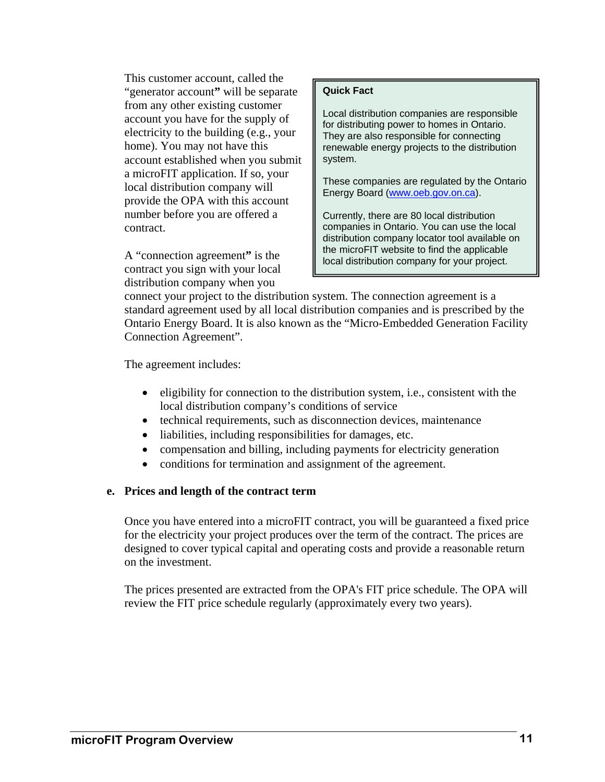This customer account, called the "generator account**"** will be separate from any other existing customer account you have for the supply of electricity to the building (e.g., your home). You may not have this account established when you submit a microFIT application. If so, your local distribution company will provide the OPA with this account number before you are offered a contract.

A "connection agreement**"** is the contract you sign with your local distribution company when you

#### **Quick Fact**

Local distribution companies are responsible for distributing power to homes in Ontario. They are also responsible for connecting renewable energy projects to the distribution system.

These companies are regulated by the Ontario Energy Board (www.oeb.gov.on.ca).

Currently, there are 80 local distribution companies in Ontario. You can use the local distribution company locator tool available on the microFIT website to find the applicable local distribution company for your project.

connect your project to the distribution system. The connection agreement is a standard agreement used by all local distribution companies and is prescribed by the Ontario Energy Board. It is also known as the "Micro-Embedded Generation Facility Connection Agreement".

The agreement includes:

- $\bullet$  eligibility for connection to the distribution system, i.e., consistent with the local distribution company's conditions of service
- technical requirements, such as disconnection devices, maintenance
- liabilities, including responsibilities for damages, etc.
- compensation and billing, including payments for electricity generation
- conditions for termination and assignment of the agreement.

#### **e. Prices and length of the contract term**

Once you have entered into a microFIT contract, you will be guaranteed a fixed price for the electricity your project produces over the term of the contract. The prices are designed to cover typical capital and operating costs and provide a reasonable return on the investment.

The prices presented are extracted from the OPA's FIT price schedule. The OPA will review the FIT price schedule regularly (approximately every two years).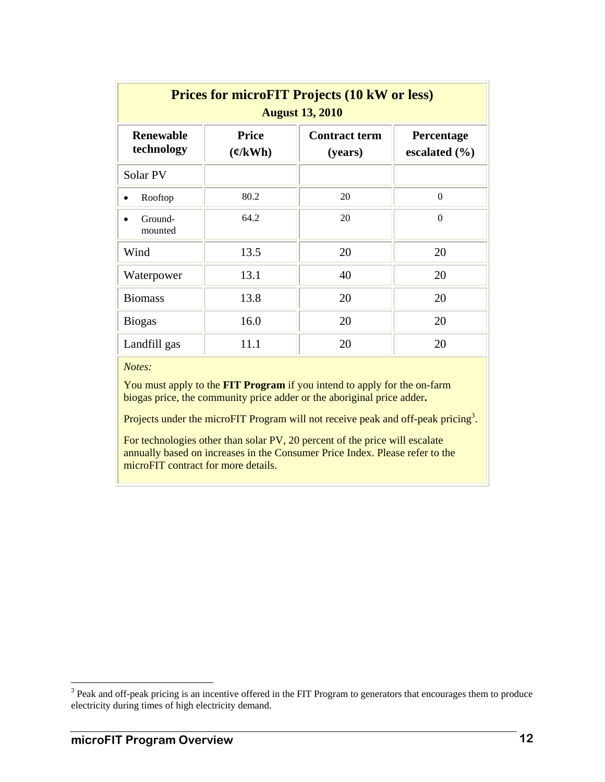| <b>Prices for microFIT Projects (10 kW or less)</b><br><b>August 13, 2010</b> |                                                 |                                 |                                 |  |
|-------------------------------------------------------------------------------|-------------------------------------------------|---------------------------------|---------------------------------|--|
| <b>Renewable</b><br>technology                                                | <b>Price</b><br>$\left(\frac{\rho}{kWh}\right)$ | <b>Contract term</b><br>(years) | Percentage<br>escalated $(\% )$ |  |
| Solar PV                                                                      |                                                 |                                 |                                 |  |
| Rooftop                                                                       | 80.2                                            | 20                              | $\theta$                        |  |
| Ground-<br>mounted                                                            | 64.2                                            | 20                              | $\Omega$                        |  |
| Wind                                                                          | 13.5                                            | 20                              | 20                              |  |
| Waterpower                                                                    | 13.1                                            | 40                              | 20                              |  |
| <b>Biomass</b>                                                                | 13.8                                            | 20                              | 20                              |  |
| <b>Biogas</b>                                                                 | 16.0                                            | 20                              | 20                              |  |
| Landfill gas                                                                  | 11.1                                            | 20                              | 20                              |  |

*Notes:*

You must apply to the **FIT Program** if you intend to apply for the on-farm biogas price, the community price adder or the aboriginal price adder**.**

Projects under the microFIT Program will not receive peak and off-peak pricing<sup>3</sup>.

For technologies other than solar PV, 20 percent of the price will escalate annually based on increases in the Consumer Price Index. Please refer to the microFIT contract for more details.

<sup>&</sup>lt;sup>3</sup> Peak and off-peak pricing is an incentive offered in the FIT Program to generators that encourages them to produce electricity during times of high electricity demand.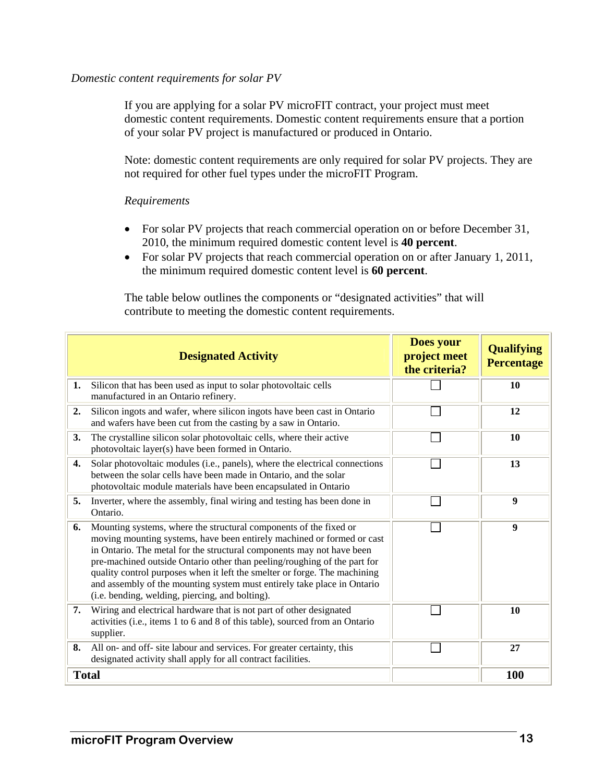#### *Domestic content requirements for solar PV*

If you are applying for a solar PV microFIT contract, your project must meet domestic content requirements. Domestic content requirements ensure that a portion of your solar PV project is manufactured or produced in Ontario.

Note: domestic content requirements are only required for solar PV projects. They are not required for other fuel types under the microFIT Program.

#### *Requirements*

- For solar PV projects that reach commercial operation on or before December 31, 2010, the minimum required domestic content level is **40 percent**.
- For solar PV projects that reach commercial operation on or after January 1, 2011, the minimum required domestic content level is **60 percent**.

The table below outlines the components or "designated activities" that will contribute to meeting the domestic content requirements.

|    | <b>Designated Activity</b>                                                                                                                                                                                                                                                                                                                                                                                                                                                                                  | Does your<br>project meet<br>the criteria? | <b>Qualifying</b><br><b>Percentage</b> |
|----|-------------------------------------------------------------------------------------------------------------------------------------------------------------------------------------------------------------------------------------------------------------------------------------------------------------------------------------------------------------------------------------------------------------------------------------------------------------------------------------------------------------|--------------------------------------------|----------------------------------------|
| 1. | Silicon that has been used as input to solar photovoltaic cells<br>manufactured in an Ontario refinery.                                                                                                                                                                                                                                                                                                                                                                                                     |                                            | 10                                     |
| 2. | Silicon ingots and wafer, where silicon ingots have been cast in Ontario<br>and wafers have been cut from the casting by a saw in Ontario.                                                                                                                                                                                                                                                                                                                                                                  |                                            | 12                                     |
| 3. | The crystalline silicon solar photovoltaic cells, where their active<br>photovoltaic layer(s) have been formed in Ontario.                                                                                                                                                                                                                                                                                                                                                                                  |                                            | 10                                     |
| 4. | Solar photovoltaic modules (i.e., panels), where the electrical connections<br>between the solar cells have been made in Ontario, and the solar<br>photovoltaic module materials have been encapsulated in Ontario                                                                                                                                                                                                                                                                                          |                                            | 13                                     |
| 5. | Inverter, where the assembly, final wiring and testing has been done in<br>Ontario.                                                                                                                                                                                                                                                                                                                                                                                                                         |                                            | 9                                      |
| 6. | Mounting systems, where the structural components of the fixed or<br>moving mounting systems, have been entirely machined or formed or cast<br>in Ontario. The metal for the structural components may not have been<br>pre-machined outside Ontario other than peeling/roughing of the part for<br>quality control purposes when it left the smelter or forge. The machining<br>and assembly of the mounting system must entirely take place in Ontario<br>(i.e. bending, welding, piercing, and bolting). |                                            | 9                                      |
| 7. | Wiring and electrical hardware that is not part of other designated<br>activities (i.e., items 1 to 6 and 8 of this table), sourced from an Ontario<br>supplier.                                                                                                                                                                                                                                                                                                                                            |                                            | 10                                     |
| 8. | All on- and off- site labour and services. For greater certainty, this<br>designated activity shall apply for all contract facilities.                                                                                                                                                                                                                                                                                                                                                                      |                                            | 27                                     |
|    | <b>Total</b>                                                                                                                                                                                                                                                                                                                                                                                                                                                                                                |                                            | <b>100</b>                             |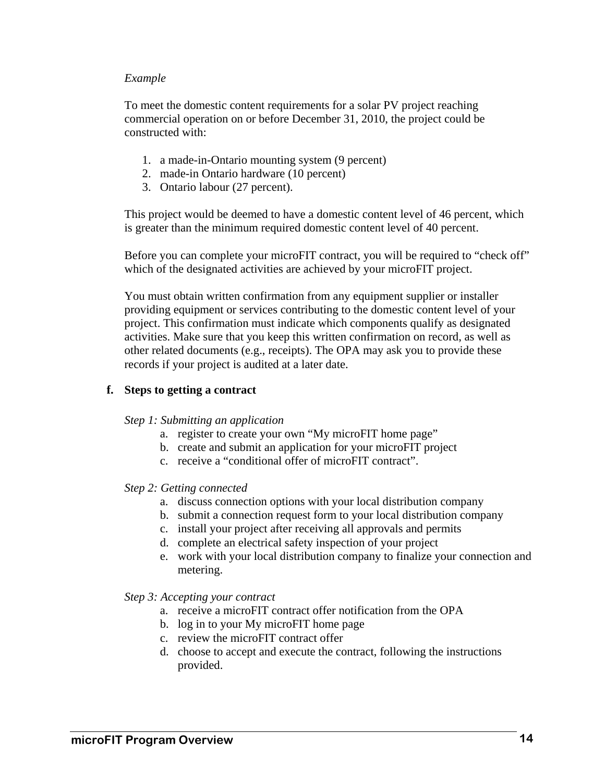#### *Example*

To meet the domestic content requirements for a solar PV project reaching commercial operation on or before December 31, 2010, the project could be constructed with:

- 1. a made-in-Ontario mounting system (9 percent)
- 2. made-in Ontario hardware (10 percent)
- 3. Ontario labour (27 percent).

This project would be deemed to have a domestic content level of 46 percent, which is greater than the minimum required domestic content level of 40 percent.

Before you can complete your microFIT contract, you will be required to "check off" which of the designated activities are achieved by your microFIT project.

You must obtain written confirmation from any equipment supplier or installer providing equipment or services contributing to the domestic content level of your project. This confirmation must indicate which components qualify as designated activities. Make sure that you keep this written confirmation on record, as well as other related documents (e.g., receipts). The OPA may ask you to provide these records if your project is audited at a later date.

#### **f. Steps to getting a contract**

#### *Step 1: Submitting an application*

- a. register to create your own "My microFIT home page"
- b. create and submit an application for your microFIT project
- c. receive a "conditional offer of microFIT contract".

#### *Step 2: Getting connected*

- a. discuss connection options with your local distribution company
- b. submit a connection request form to your local distribution company
- c. install your project after receiving all approvals and permits
- d. complete an electrical safety inspection of your project
- e. work with your local distribution company to finalize your connection and metering.

#### *Step 3: Accepting your contract*

- a. receive a microFIT contract offer notification from the OPA
- b. log in to your My microFIT home page
- c. review the microFIT contract offer
- d. choose to accept and execute the contract, following the instructions provided.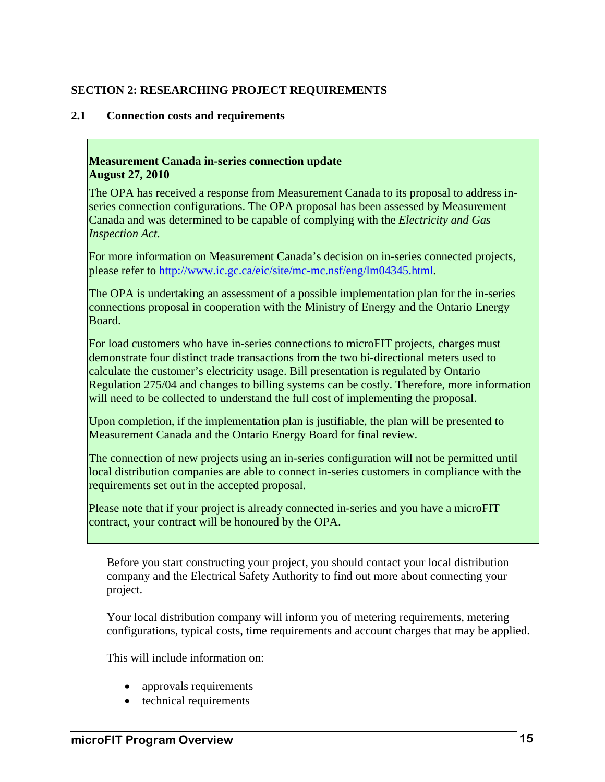# **SECTION 2: RESEARCHING PROJECT REQUIREMENTS**

#### **2.1 Connection costs and requirements**

#### **Measurement Canada in-series connection update August 27, 2010**

The OPA has received a response from Measurement Canada to its proposal to address inseries connection configurations. The OPA proposal has been assessed by Measurement Canada and was determined to be capable of complying with the *Electricity and Gas Inspection Act*.

For more information on Measurement Canada's decision on in-series connected projects, please refer to http://www.ic.gc.ca/eic/site/mc-mc.nsf/eng/lm04345.html.

The OPA is undertaking an assessment of a possible implementation plan for the in-series connections proposal in cooperation with the Ministry of Energy and the Ontario Energy Board.

For load customers who have in-series connections to microFIT projects, charges must demonstrate four distinct trade transactions from the two bi-directional meters used to calculate the customer's electricity usage. Bill presentation is regulated by Ontario Regulation 275/04 and changes to billing systems can be costly. Therefore, more information will need to be collected to understand the full cost of implementing the proposal.

Upon completion, if the implementation plan is justifiable, the plan will be presented to Measurement Canada and the Ontario Energy Board for final review.

The connection of new projects using an in-series configuration will not be permitted until local distribution companies are able to connect in-series customers in compliance with the requirements set out in the accepted proposal.

Please note that if your project is already connected in-series and you have a microFIT contract, your contract will be honoured by the OPA.

Before you start constructing your project, you should contact your local distribution company and the Electrical Safety Authority to find out more about connecting your project.

Your local distribution company will inform you of metering requirements, metering configurations, typical costs, time requirements and account charges that may be applied.

This will include information on:

- approvals requirements
- technical requirements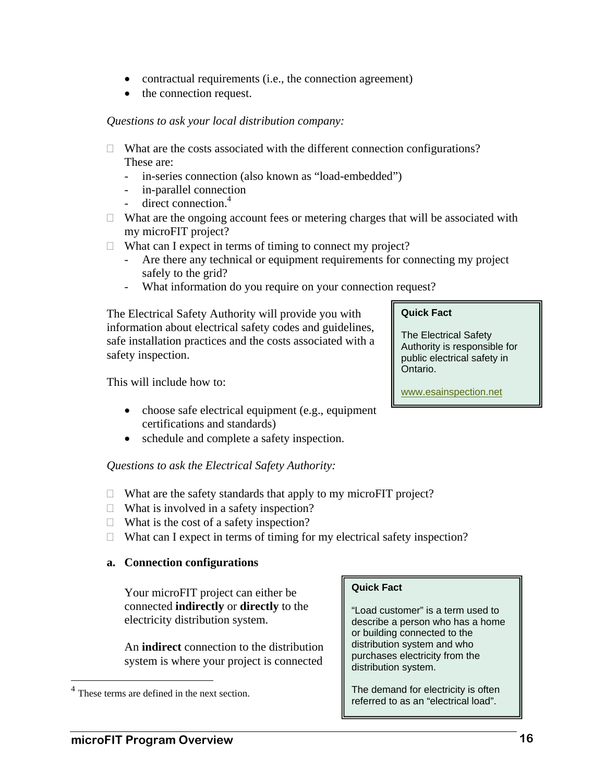- contractual requirements (i.e., the connection agreement)
- the connection request.

#### *Questions to ask your local distribution company:*

- $\Box$  What are the costs associated with the different connection configurations? These are:
	- in-series connection (also known as "load-embedded")
	- in-parallel connection
	- direct connection.<sup>4</sup>
- $\Box$  What are the ongoing account fees or metering charges that will be associated with my microFIT project?
- $\Box$  What can I expect in terms of timing to connect my project?
	- Are there any technical or equipment requirements for connecting my project safely to the grid?
	- What information do you require on your connection request?

The Electrical Safety Authority will provide you with information about electrical safety codes and guidelines, safe installation practices and the costs associated with a safety inspection.

This will include how to:

- choose safe electrical equipment (e.g., equipment certifications and standards)
- schedule and complete a safety inspection.

*Questions to ask the Electrical Safety Authority:* 

- $\Box$  What are the safety standards that apply to my microFIT project?
- $\Box$  What is involved in a safety inspection?
- $\Box$  What is the cost of a safety inspection?
- $\Box$  What can I expect in terms of timing for my electrical safety inspection?

#### **a. Connection configurations**

Your microFIT project can either be connected **indirectly** or **directly** to the electricity distribution system.

An **indirect** connection to the distribution system is where your project is connected

 $\overline{a}$ 

#### **Quick Fact**

"Load customer" is a term used to describe a person who has a home or building connected to the distribution system and who purchases electricity from the distribution system.

The demand for electricity is often referred to as an "electrical load".

# **Quick Fact**

The Electrical Safety Authority is responsible for public electrical safety in Ontario.

www.esainspection.net

<sup>&</sup>lt;sup>4</sup> These terms are defined in the next section.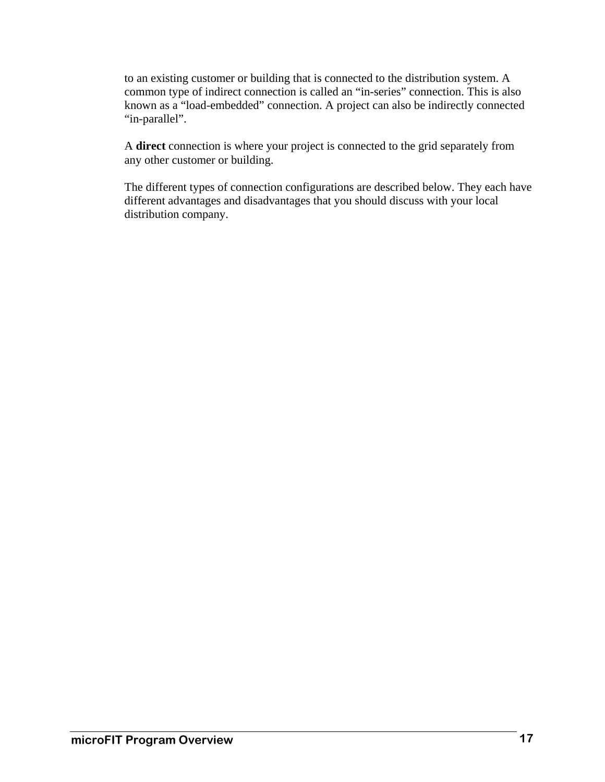to an existing customer or building that is connected to the distribution system. A common type of indirect connection is called an "in-series" connection. This is also known as a "load-embedded" connection. A project can also be indirectly connected "in-parallel".

A **direct** connection is where your project is connected to the grid separately from any other customer or building.

The different types of connection configurations are described below. They each have different advantages and disadvantages that you should discuss with your local distribution company.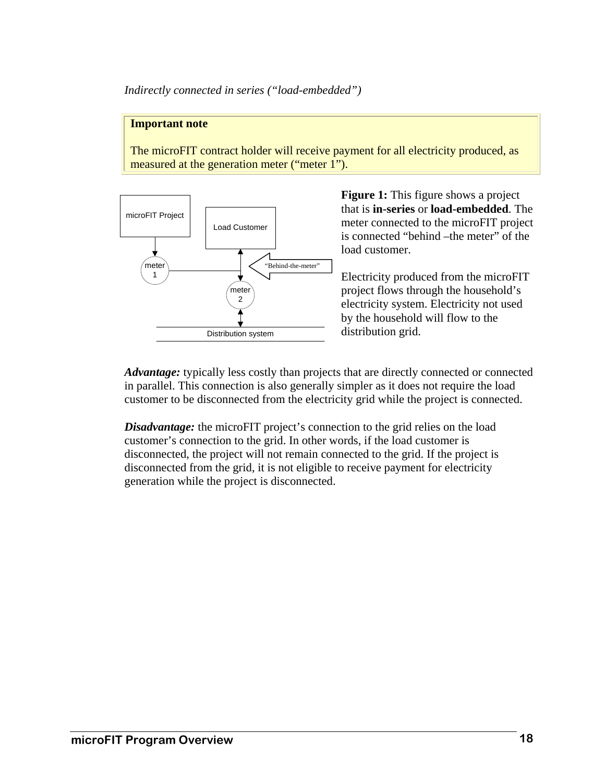*Indirectly connected in series ("load-embedded")* 

#### **Important note**

The microFIT contract holder will receive payment for all electricity produced, as measured at the generation meter ("meter 1").



**Figure 1:** This figure shows a project that is **in-series** or **load-embedded**. The meter connected to the microFIT project is connected "behind –the meter" of the load customer.

Electricity produced from the microFIT project flows through the household's electricity system. Electricity not used by the household will flow to the distribution grid.

*Advantage:* typically less costly than projects that are directly connected or connected in parallel. This connection is also generally simpler as it does not require the load customer to be disconnected from the electricity grid while the project is connected.

*Disadvantage:* the microFIT project's connection to the grid relies on the load customer's connection to the grid. In other words, if the load customer is disconnected, the project will not remain connected to the grid. If the project is disconnected from the grid, it is not eligible to receive payment for electricity generation while the project is disconnected.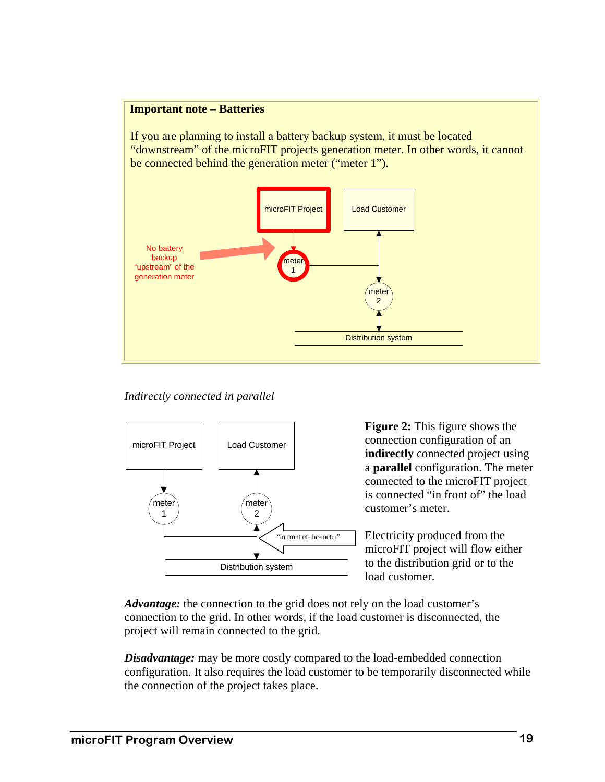#### **Important note – Batteries**

If you are planning to install a battery backup system, it must be located "downstream" of the microFIT projects generation meter. In other words, it cannot be connected behind the generation meter ("meter 1").



 *Indirectly connected in parallel* 



**Figure 2:** This figure shows the connection configuration of an **indirectly** connected project using a **parallel** configuration. The meter connected to the microFIT project is connected "in front of" the load customer's meter.

Electricity produced from the microFIT project will flow either to the distribution grid or to the load customer.

*Advantage:* the connection to the grid does not rely on the load customer's connection to the grid. In other words, if the load customer is disconnected, the project will remain connected to the grid.

*Disadvantage:* may be more costly compared to the load-embedded connection configuration. It also requires the load customer to be temporarily disconnected while the connection of the project takes place.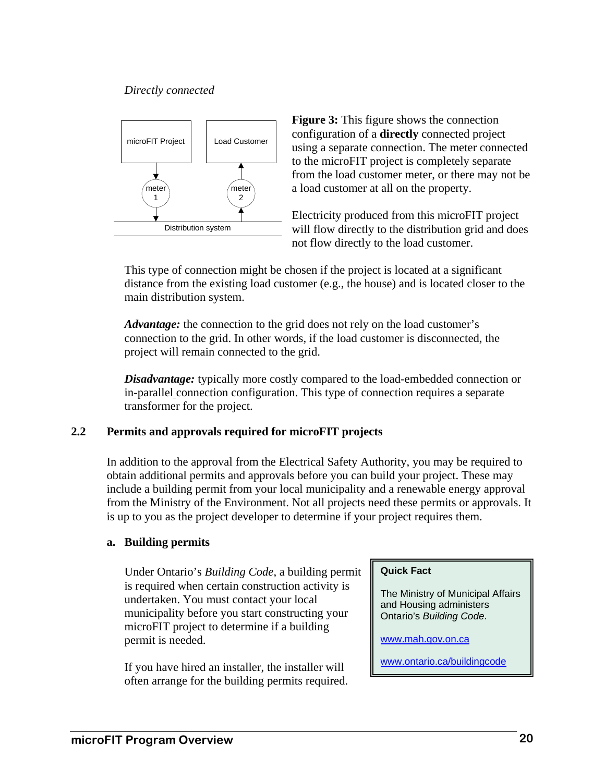#### *Directly connected*



**Figure 3:** This figure shows the connection configuration of a **directly** connected project using a separate connection. The meter connected to the microFIT project is completely separate from the load customer meter, or there may not be a load customer at all on the property.

Electricity produced from this microFIT project will flow directly to the distribution grid and does not flow directly to the load customer.

This type of connection might be chosen if the project is located at a significant distance from the existing load customer (e.g., the house) and is located closer to the main distribution system.

*Advantage:* the connection to the grid does not rely on the load customer's connection to the grid. In other words, if the load customer is disconnected, the project will remain connected to the grid.

*Disadvantage:* typically more costly compared to the load-embedded connection or in-parallel connection configuration. This type of connection requires a separate transformer for the project.

#### **2.2 Permits and approvals required for microFIT projects**

In addition to the approval from the Electrical Safety Authority, you may be required to obtain additional permits and approvals before you can build your project. These may include a building permit from your local municipality and a renewable energy approval from the Ministry of the Environment. Not all projects need these permits or approvals. It is up to you as the project developer to determine if your project requires them.

#### **a. Building permits**

Under Ontario's *Building Code*, a building permit is required when certain construction activity is undertaken. You must contact your local municipality before you start constructing your microFIT project to determine if a building permit is needed.

If you have hired an installer, the installer will often arrange for the building permits required.

#### **Quick Fact**

The Ministry of Municipal Affairs and Housing administers Ontario's *Building Code*.

www.mah.gov.on.ca

www.ontario.ca/buildingcode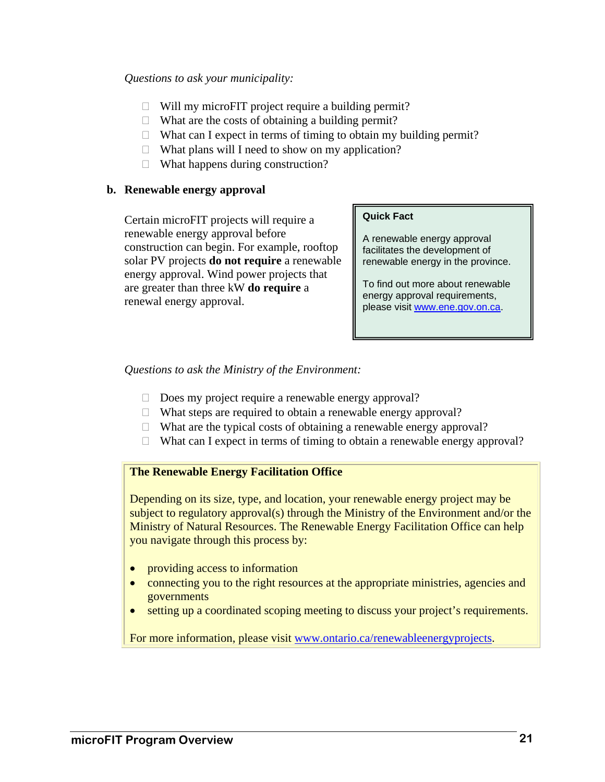#### *Questions to ask your municipality:*

- $\Box$  Will my microFIT project require a building permit?
- $\Box$  What are the costs of obtaining a building permit?
- $\Box$  What can I expect in terms of timing to obtain my building permit?
- $\Box$  What plans will I need to show on my application?
- $\Box$  What happens during construction?

#### **b. Renewable energy approval**

Certain microFIT projects will require a renewable energy approval before construction can begin. For example, rooftop solar PV projects **do not require** a renewable energy approval. Wind power projects that are greater than three kW **do require** a renewal energy approval.

#### **Quick Fact**

A renewable energy approval facilitates the development of renewable energy in the province.

To find out more about renewable energy approval requirements, please visit www.ene.gov.on.ca.

#### *Questions to ask the Ministry of the Environment:*

- $\Box$  Does my project require a renewable energy approval?
- $\Box$  What steps are required to obtain a renewable energy approval?
- $\Box$  What are the typical costs of obtaining a renewable energy approval?
- $\Box$  What can I expect in terms of timing to obtain a renewable energy approval?

#### **The Renewable Energy Facilitation Office**

Depending on its size, type, and location, your renewable energy project may be subject to regulatory approval(s) through the Ministry of the Environment and/or the Ministry of Natural Resources. The Renewable Energy Facilitation Office can help you navigate through this process by:

- providing access to information
- connecting you to the right resources at the appropriate ministries, agencies and governments
- setting up a coordinated scoping meeting to discuss your project's requirements.

For more information, please visit www.ontario.ca/renewableenergyprojects.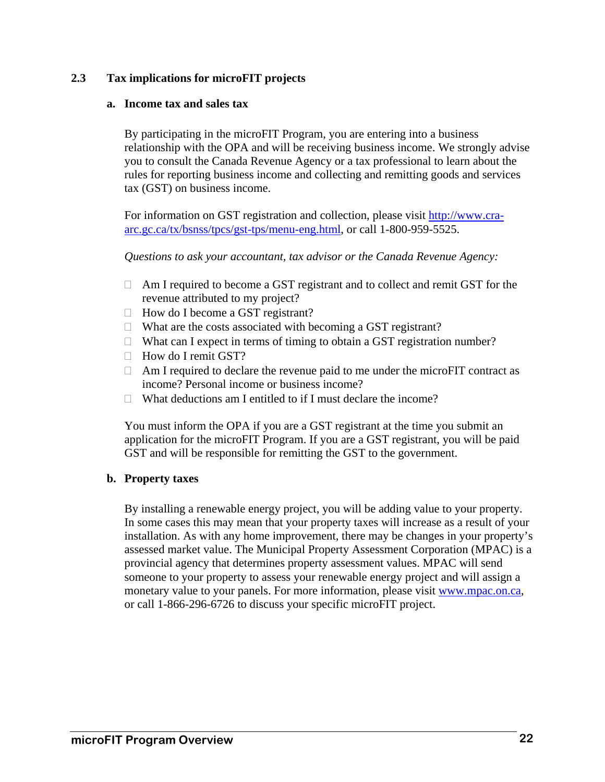# **2.3 Tax implications for microFIT projects**

#### **a. Income tax and sales tax**

By participating in the microFIT Program, you are entering into a business relationship with the OPA and will be receiving business income. We strongly advise you to consult the Canada Revenue Agency or a tax professional to learn about the rules for reporting business income and collecting and remitting goods and services tax (GST) on business income.

For information on GST registration and collection, please visit http://www.craarc.gc.ca/tx/bsnss/tpcs/gst-tps/menu-eng.html, or call 1-800-959-5525.

*Questions to ask your accountant, tax advisor or the Canada Revenue Agency:* 

- □ Am I required to become a GST registrant and to collect and remit GST for the revenue attributed to my project?
- $\Box$  How do I become a GST registrant?
- $\Box$  What are the costs associated with becoming a GST registrant?
- $\Box$  What can I expect in terms of timing to obtain a GST registration number?
- $\Box$  How do I remit GST?
- □ Am I required to declare the revenue paid to me under the microFIT contract as income? Personal income or business income?
- $\Box$  What deductions am I entitled to if I must declare the income?

You must inform the OPA if you are a GST registrant at the time you submit an application for the microFIT Program. If you are a GST registrant, you will be paid GST and will be responsible for remitting the GST to the government.

#### **b. Property taxes**

By installing a renewable energy project, you will be adding value to your property. In some cases this may mean that your property taxes will increase as a result of your installation. As with any home improvement, there may be changes in your property's assessed market value. The Municipal Property Assessment Corporation (MPAC) is a provincial agency that determines property assessment values. MPAC will send someone to your property to assess your renewable energy project and will assign a monetary value to your panels. For more information, please visit www.mpac.on.ca, or call 1-866-296-6726 to discuss your specific microFIT project.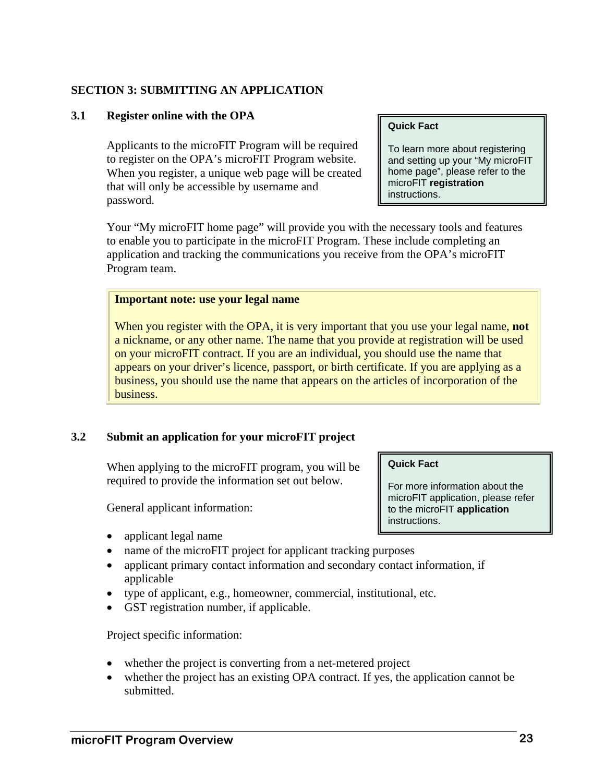#### **SECTION 3: SUBMITTING AN APPLICATION**

#### **3.1 Register online with the OPA**

Applicants to the microFIT Program will be required to register on the OPA's microFIT Program website. When you register, a unique web page will be created that will only be accessible by username and password.

#### **Quick Fact**

To learn more about registering and setting up your "My microFIT home page", please refer to the microFIT **registration** instructions.

Your "My microFIT home page" will provide you with the necessary tools and features to enable you to participate in the microFIT Program. These include completing an application and tracking the communications you receive from the OPA's microFIT Program team.

#### **Important note: use your legal name**

When you register with the OPA, it is very important that you use your legal name, **not** a nickname, or any other name. The name that you provide at registration will be used on your microFIT contract. If you are an individual, you should use the name that appears on your driver's licence, passport, or birth certificate. If you are applying as a business, you should use the name that appears on the articles of incorporation of the business.

#### **3.2 Submit an application for your microFIT project**

When applying to the microFIT program, you will be required to provide the information set out below.

General applicant information:

- applicant legal name
- name of the microFIT project for applicant tracking purposes
- applicant primary contact information and secondary contact information, if applicable
- type of applicant, e.g., homeowner, commercial, institutional, etc.
- GST registration number, if applicable.

Project specific information:

- whether the project is converting from a net-metered project
- whether the project has an existing OPA contract. If yes, the application cannot be submitted.

**Quick Fact** 

For more information about the microFIT application, please refer to the microFIT **application** instructions.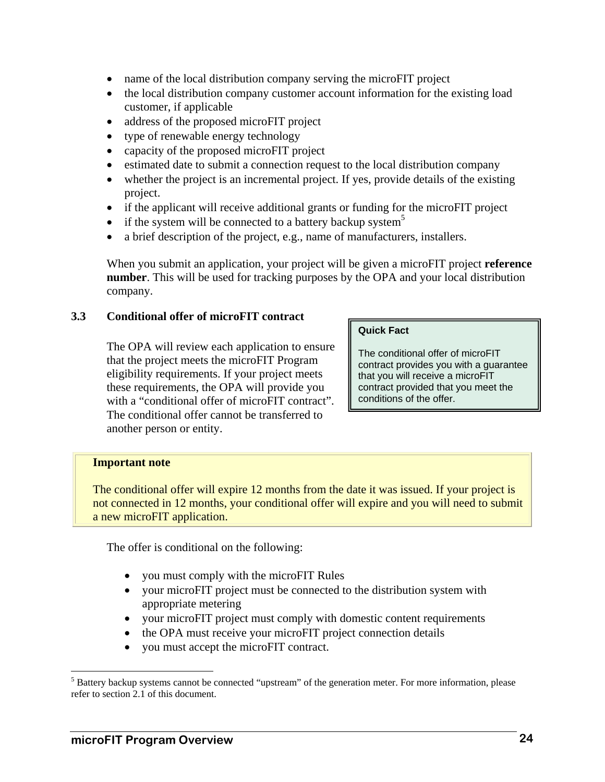- name of the local distribution company serving the microFIT project
- the local distribution company customer account information for the existing load customer, if applicable
- address of the proposed microFIT project
- type of renewable energy technology
- capacity of the proposed microFIT project
- estimated date to submit a connection request to the local distribution company
- whether the project is an incremental project. If yes, provide details of the existing project.
- if the applicant will receive additional grants or funding for the microFIT project
- if the system will be connected to a battery backup system<sup>5</sup>
- a brief description of the project, e.g., name of manufacturers, installers.

When you submit an application, your project will be given a microFIT project **reference number**. This will be used for tracking purposes by the OPA and your local distribution company.

#### **3.3 Conditional offer of microFIT contract**

The OPA will review each application to ensure that the project meets the microFIT Program eligibility requirements. If your project meets these requirements, the OPA will provide you with a "conditional offer of microFIT contract". The conditional offer cannot be transferred to another person or entity.

#### **Quick Fact**

The conditional offer of microFIT contract provides you with a guarantee that you will receive a microFIT contract provided that you meet the conditions of the offer.

#### **Important note**

The conditional offer will expire 12 months from the date it was issued. If your project is not connected in 12 months, your conditional offer will expire and you will need to submit a new microFIT application.

The offer is conditional on the following:

- you must comply with the microFIT Rules
- your microFIT project must be connected to the distribution system with appropriate metering
- your microFIT project must comply with domestic content requirements
- the OPA must receive your microFIT project connection details
- you must accept the microFIT contract.

1

<sup>&</sup>lt;sup>5</sup> Battery backup systems cannot be connected "upstream" of the generation meter. For more information, please refer to section 2.1 of this document.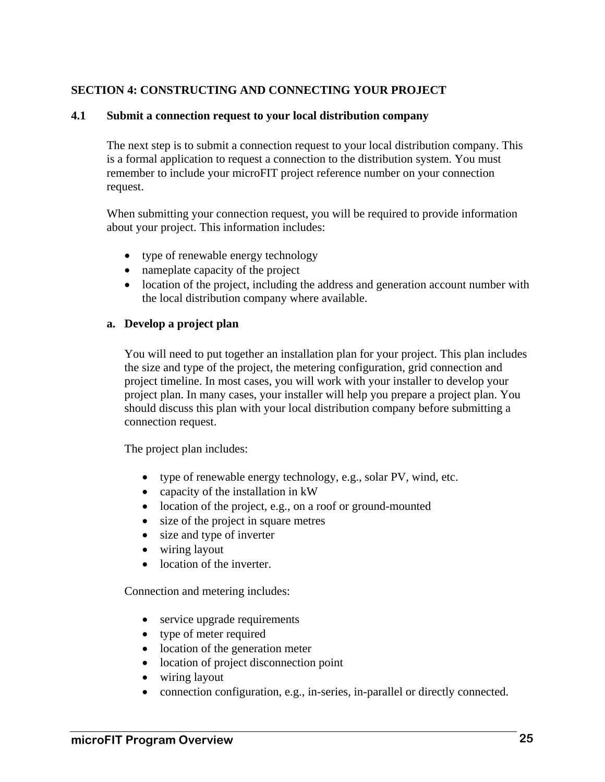# **SECTION 4: CONSTRUCTING AND CONNECTING YOUR PROJECT**

#### **4.1 Submit a connection request to your local distribution company**

The next step is to submit a connection request to your local distribution company. This is a formal application to request a connection to the distribution system. You must remember to include your microFIT project reference number on your connection request.

When submitting your connection request, you will be required to provide information about your project. This information includes:

- type of renewable energy technology
- nameplate capacity of the project
- location of the project, including the address and generation account number with the local distribution company where available.

#### **a. Develop a project plan**

You will need to put together an installation plan for your project. This plan includes the size and type of the project, the metering configuration, grid connection and project timeline. In most cases, you will work with your installer to develop your project plan. In many cases, your installer will help you prepare a project plan. You should discuss this plan with your local distribution company before submitting a connection request.

The project plan includes:

- type of renewable energy technology, e.g., solar PV, wind, etc.
- capacity of the installation in kW
- location of the project, e.g., on a roof or ground-mounted
- size of the project in square metres
- size and type of inverter
- wiring layout
- location of the inverter.

Connection and metering includes:

- service upgrade requirements
- type of meter required
- location of the generation meter
- location of project disconnection point
- wiring layout
- connection configuration, e.g., in-series, in-parallel or directly connected.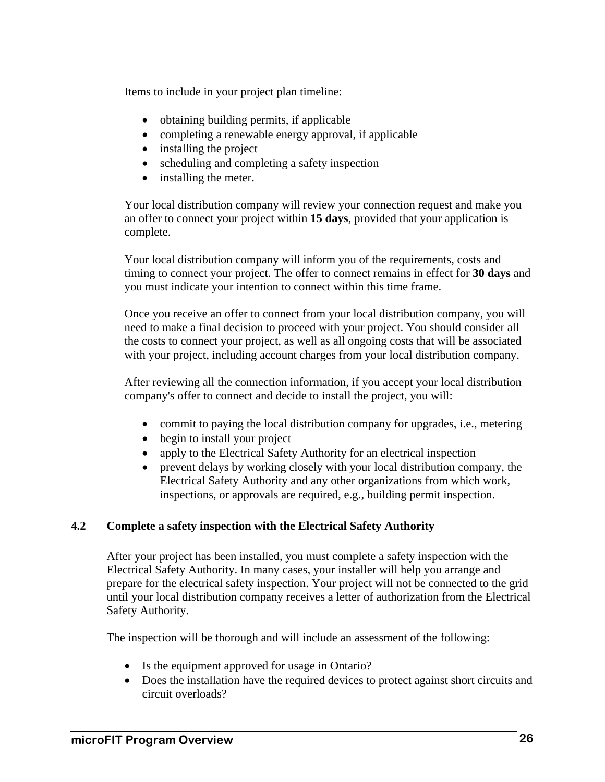Items to include in your project plan timeline:

- obtaining building permits, if applicable
- completing a renewable energy approval, if applicable
- installing the project
- scheduling and completing a safety inspection
- installing the meter.

Your local distribution company will review your connection request and make you an offer to connect your project within **15 days**, provided that your application is complete.

Your local distribution company will inform you of the requirements, costs and timing to connect your project. The offer to connect remains in effect for **30 days** and you must indicate your intention to connect within this time frame.

Once you receive an offer to connect from your local distribution company, you will need to make a final decision to proceed with your project. You should consider all the costs to connect your project, as well as all ongoing costs that will be associated with your project, including account charges from your local distribution company.

After reviewing all the connection information, if you accept your local distribution company's offer to connect and decide to install the project, you will:

- commit to paying the local distribution company for upgrades, i.e., metering
- begin to install your project
- apply to the Electrical Safety Authority for an electrical inspection
- prevent delays by working closely with your local distribution company, the Electrical Safety Authority and any other organizations from which work, inspections, or approvals are required, e.g., building permit inspection.

# **4.2 Complete a safety inspection with the Electrical Safety Authority**

After your project has been installed, you must complete a safety inspection with the Electrical Safety Authority. In many cases, your installer will help you arrange and prepare for the electrical safety inspection. Your project will not be connected to the grid until your local distribution company receives a letter of authorization from the Electrical Safety Authority.

The inspection will be thorough and will include an assessment of the following:

- Is the equipment approved for usage in Ontario?
- Does the installation have the required devices to protect against short circuits and circuit overloads?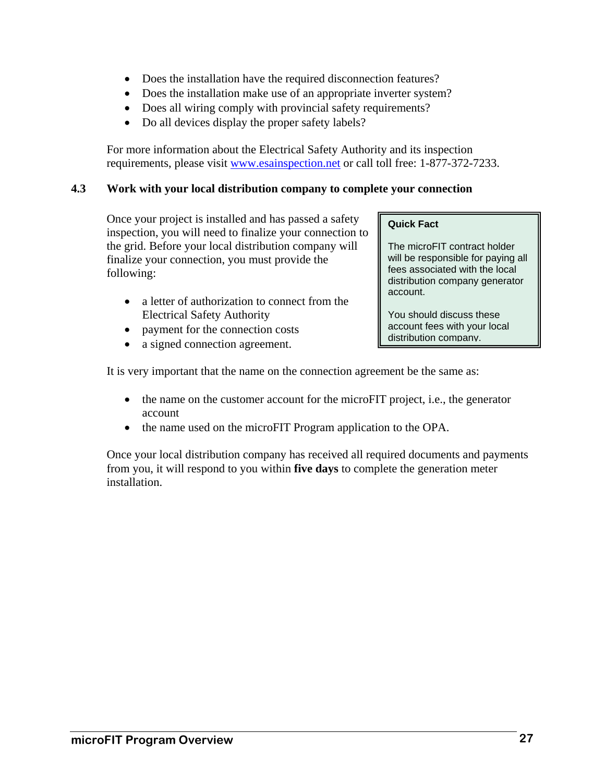- Does the installation have the required disconnection features?
- Does the installation make use of an appropriate inverter system?
- Does all wiring comply with provincial safety requirements?
- Do all devices display the proper safety labels?

For more information about the Electrical Safety Authority and its inspection requirements, please visit www.esainspection.net or call toll free: 1-877-372-7233.

# **4.3 Work with your local distribution company to complete your connection**

Once your project is installed and has passed a safety inspection, you will need to finalize your connection to the grid. Before your local distribution company will finalize your connection, you must provide the following:

- a letter of authorization to connect from the Electrical Safety Authority
- payment for the connection costs
- a signed connection agreement.

#### **Quick Fact**

The microFIT contract holder will be responsible for paying all fees associated with the local distribution company generator account.

You should discuss these account fees with your local distribution company.

It is very important that the name on the connection agreement be the same as:

- the name on the customer account for the microFIT project, i.e., the generator account
- the name used on the microFIT Program application to the OPA.

Once your local distribution company has received all required documents and payments from you, it will respond to you within **five days** to complete the generation meter installation.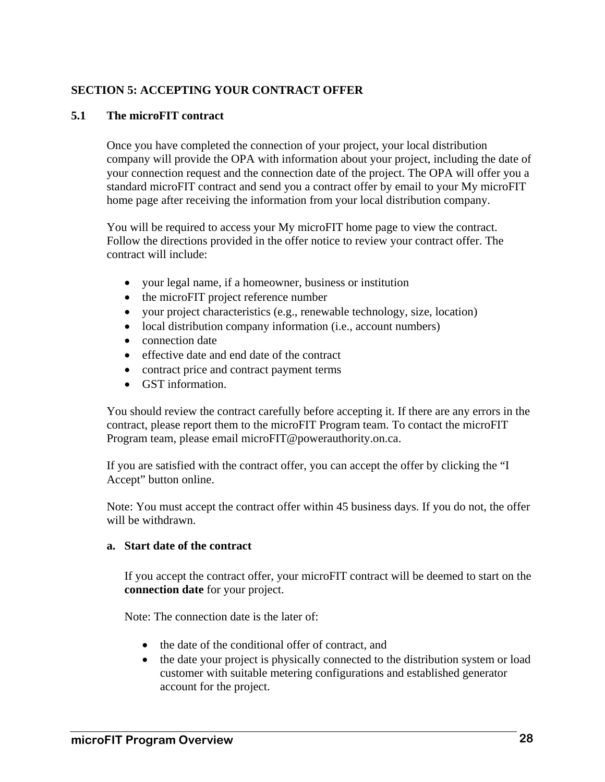# **SECTION 5: ACCEPTING YOUR CONTRACT OFFER**

#### **5.1 The microFIT contract**

Once you have completed the connection of your project, your local distribution company will provide the OPA with information about your project, including the date of your connection request and the connection date of the project. The OPA will offer you a standard microFIT contract and send you a contract offer by email to your My microFIT home page after receiving the information from your local distribution company.

You will be required to access your My microFIT home page to view the contract. Follow the directions provided in the offer notice to review your contract offer. The contract will include:

- your legal name, if a homeowner, business or institution
- the microFIT project reference number
- your project characteristics (e.g., renewable technology, size, location)
- local distribution company information (i.e., account numbers)
- connection date
- effective date and end date of the contract
- contract price and contract payment terms
- GST information.

You should review the contract carefully before accepting it. If there are any errors in the contract, please report them to the microFIT Program team. To contact the microFIT Program team, please email microFIT@powerauthority.on.ca.

If you are satisfied with the contract offer, you can accept the offer by clicking the "I Accept" button online.

Note: You must accept the contract offer within 45 business days. If you do not, the offer will be withdrawn.

#### **a. Start date of the contract**

If you accept the contract offer, your microFIT contract will be deemed to start on the **connection date** for your project.

Note: The connection date is the later of:

- the date of the conditional offer of contract, and
- the date your project is physically connected to the distribution system or load customer with suitable metering configurations and established generator account for the project.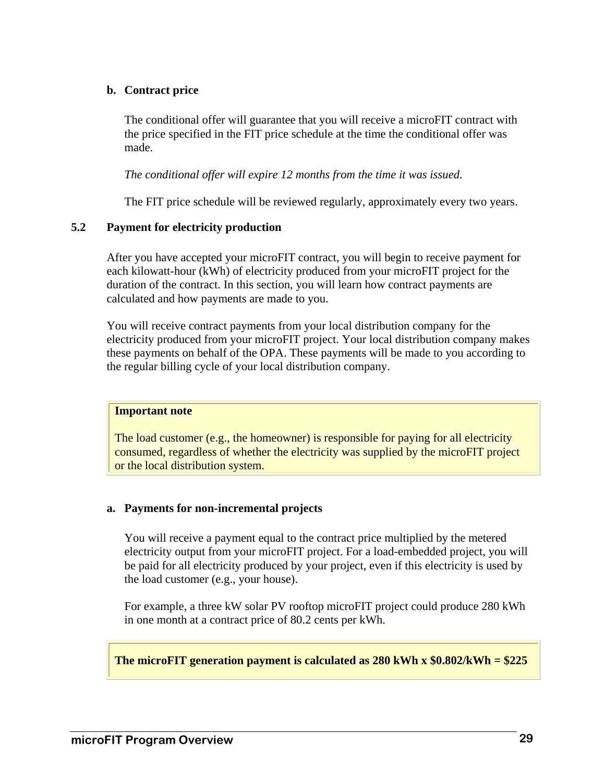#### **b. Contract price**

The conditional offer will guarantee that you will receive a microFIT contract with the price specified in the FIT price schedule at the time the conditional offer was made.

*The conditional offer will expire 12 months from the time it was issued.* 

The FIT price schedule will be reviewed regularly, approximately every two years.

#### **5.2 Payment for electricity production**

After you have accepted your microFIT contract, you will begin to receive payment for each kilowatt-hour (kWh) of electricity produced from your microFIT project for the duration of the contract. In this section, you will learn how contract payments are calculated and how payments are made to you.

You will receive contract payments from your local distribution company for the electricity produced from your microFIT project. Your local distribution company makes these payments on behalf of the OPA. These payments will be made to you according to the regular billing cycle of your local distribution company.

#### **Important note**

The load customer (e.g., the homeowner) is responsible for paying for all electricity consumed, regardless of whether the electricity was supplied by the microFIT project or the local distribution system.

#### **a. Payments for non-incremental projects**

You will receive a payment equal to the contract price multiplied by the metered electricity output from your microFIT project. For a load-embedded project, you will be paid for all electricity produced by your project, even if this electricity is used by the load customer (e.g., your house).

For example, a three kW solar PV rooftop microFIT project could produce 280 kWh in one month at a contract price of 80.2 cents per kWh.

#### **The microFIT generation payment is calculated as 280 kWh x \$0.802/kWh = \$225**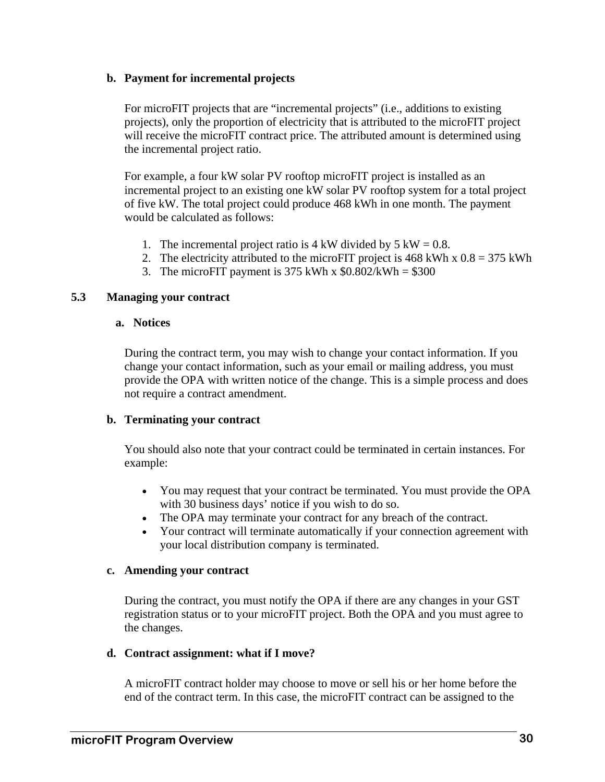#### **b. Payment for incremental projects**

For microFIT projects that are "incremental projects" (i.e., additions to existing projects), only the proportion of electricity that is attributed to the microFIT project will receive the microFIT contract price. The attributed amount is determined using the incremental project ratio.

For example, a four kW solar PV rooftop microFIT project is installed as an incremental project to an existing one kW solar PV rooftop system for a total project of five kW. The total project could produce 468 kWh in one month. The payment would be calculated as follows:

- 1. The incremental project ratio is 4 kW divided by 5 kW =  $0.8$ .
- 2. The electricity attributed to the microFIT project is  $468$  kWh x  $0.8 = 375$  kWh
- 3. The microFIT payment is 375 kWh x  $$0.802/kWh = $300$

#### **5.3 Managing your contract**

#### **a. Notices**

During the contract term, you may wish to change your contact information. If you change your contact information, such as your email or mailing address, you must provide the OPA with written notice of the change. This is a simple process and does not require a contract amendment.

#### **b. Terminating your contract**

You should also note that your contract could be terminated in certain instances. For example:

- You may request that your contract be terminated. You must provide the OPA with 30 business days' notice if you wish to do so.
- The OPA may terminate your contract for any breach of the contract.
- Your contract will terminate automatically if your connection agreement with your local distribution company is terminated.

#### **c. Amending your contract**

During the contract, you must notify the OPA if there are any changes in your GST registration status or to your microFIT project. Both the OPA and you must agree to the changes.

#### **d. Contract assignment: what if I move?**

A microFIT contract holder may choose to move or sell his or her home before the end of the contract term. In this case, the microFIT contract can be assigned to the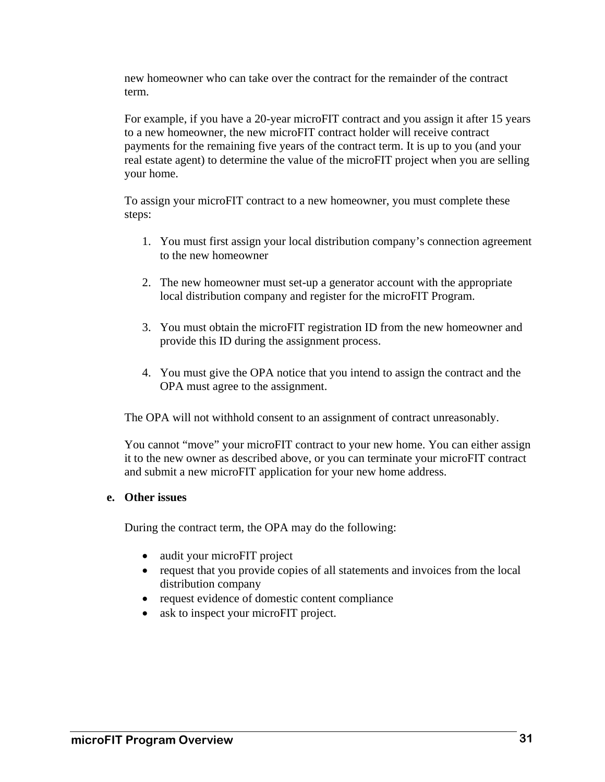new homeowner who can take over the contract for the remainder of the contract term.

For example, if you have a 20-year microFIT contract and you assign it after 15 years to a new homeowner, the new microFIT contract holder will receive contract payments for the remaining five years of the contract term. It is up to you (and your real estate agent) to determine the value of the microFIT project when you are selling your home.

To assign your microFIT contract to a new homeowner, you must complete these steps:

- 1. You must first assign your local distribution company's connection agreement to the new homeowner
- 2. The new homeowner must set-up a generator account with the appropriate local distribution company and register for the microFIT Program.
- 3. You must obtain the microFIT registration ID from the new homeowner and provide this ID during the assignment process.
- 4. You must give the OPA notice that you intend to assign the contract and the OPA must agree to the assignment.

The OPA will not withhold consent to an assignment of contract unreasonably.

You cannot "move" your microFIT contract to your new home. You can either assign it to the new owner as described above, or you can terminate your microFIT contract and submit a new microFIT application for your new home address.

#### **e. Other issues**

During the contract term, the OPA may do the following:

- audit your microFIT project
- request that you provide copies of all statements and invoices from the local distribution company
- request evidence of domestic content compliance
- ask to inspect your microFIT project.